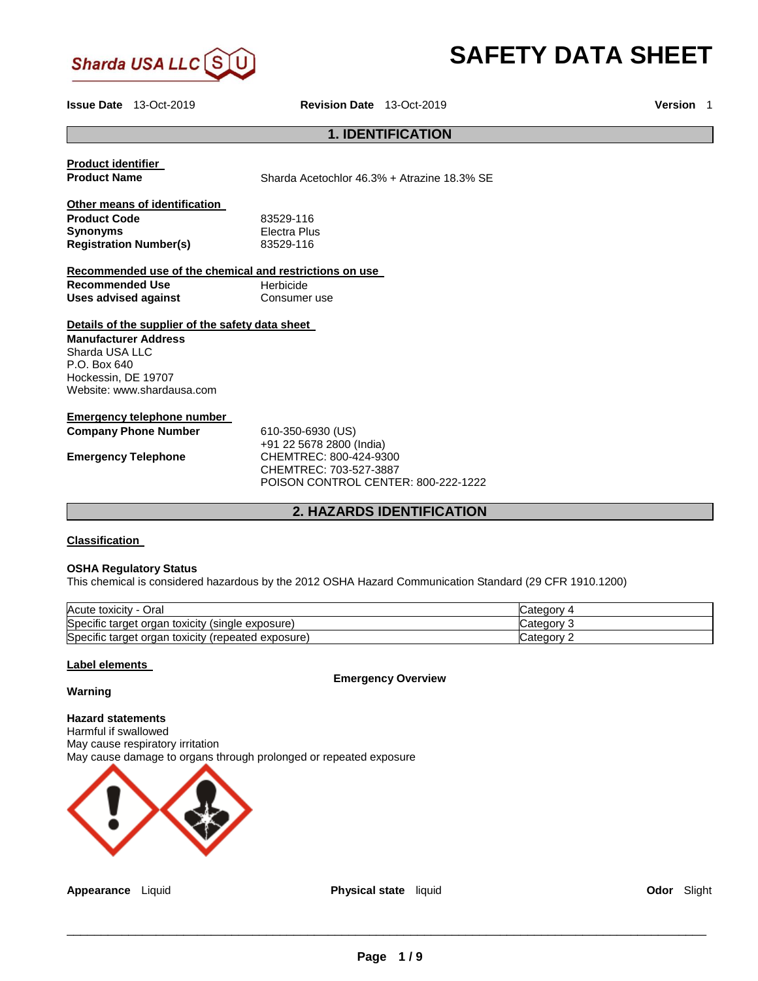

# **SAFETY DATA SHEET**

**Issue Date** 13-Oct-2019 **Revision Date** 13-Oct-2019 **Version** 1

## **1. IDENTIFICATION**

| <b>Product identifier</b><br><b>Product Name</b>                                                                                                                         | Sharda Acetochlor 46.3% + Atrazine 18.3% SE                                                                                              |
|--------------------------------------------------------------------------------------------------------------------------------------------------------------------------|------------------------------------------------------------------------------------------------------------------------------------------|
| Other means of identification<br><b>Product Code</b><br><b>Synonyms</b>                                                                                                  | 83529-116<br>Electra Plus                                                                                                                |
| <b>Registration Number(s)</b>                                                                                                                                            | 83529-116                                                                                                                                |
| Recommended use of the chemical and restrictions on use                                                                                                                  |                                                                                                                                          |
| <b>Recommended Use</b>                                                                                                                                                   | Herbicide                                                                                                                                |
| <b>Uses advised against</b>                                                                                                                                              | Consumer use                                                                                                                             |
| Details of the supplier of the safety data sheet<br><b>Manufacturer Address</b><br>Sharda USA LLC<br>$P.O.$ Box 640<br>Hockessin, DE 19707<br>Website: www.shardausa.com |                                                                                                                                          |
| Emergency telephone number<br><b>Company Phone Number</b><br><b>Emergency Telephone</b>                                                                                  | 610-350-6930 (US)<br>+91 22 5678 2800 (India)<br>CHEMTREC: 800-424-9300<br>CHEMTREC: 703-527-3887<br>POISON CONTROL CENTER: 800-222-1222 |

## **2. HAZARDS IDENTIFICATION**

## **Classification**

#### **OSHA Regulatory Status**

This chemical is considered hazardous by the 2012 OSHA Hazard Communication Standard (29 CFR 1910.1200)

| Acute toxicity - Oral                              | 4 Catedory |
|----------------------------------------------------|------------|
| Specific target organ toxicity (single exposure)   | Category ? |
| Specific target organ toxicity (repeated exposure) | Category 2 |

## **Label elements**

**Emergency Overview** 

## **Warning**

**Hazard statements** Harmful if swallowed May cause respiratory irritation May cause damage to organs through prolonged or repeated exposure

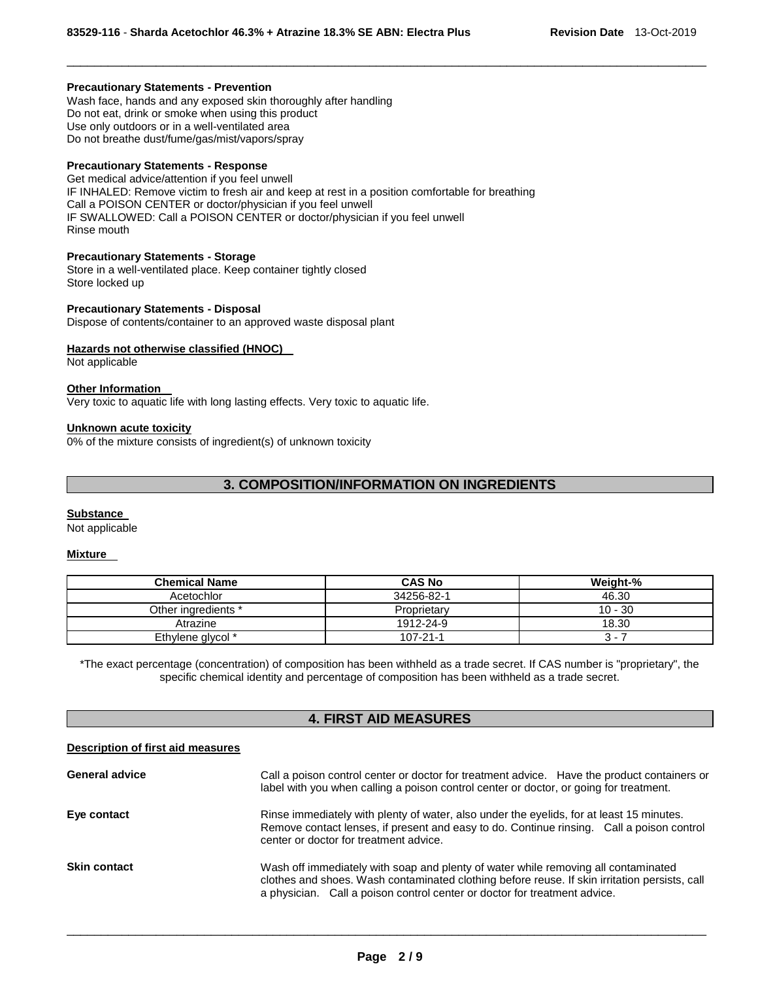#### **Precautionary Statements - Prevention**

Wash face, hands and any exposed skin thoroughly after handling Do not eat, drink or smoke when using this product Use only outdoors or in a well-ventilated area Do not breathe dust/fume/gas/mist/vapors/spray

#### **Precautionary Statements - Response**

Get medical advice/attention if you feel unwell IF INHALED: Remove victim to fresh air and keep at rest in a position comfortable for breathing Call a POISON CENTER or doctor/physician if you feel unwell IF SWALLOWED: Call a POISON CENTER or doctor/physician if you feel unwell Rinse mouth

#### **Precautionary Statements - Storage**

Store in a well-ventilated place. Keep container tightly closed Store locked up

# **Precautionary Statements - Disposal**

Dispose of contents/container to an approved waste disposal plant

#### **Hazards not otherwise classified (HNOC)**

Not applicable

## **Other Information**

Very toxic to aquatic life with long lasting effects. Very toxic to aquatic life.

#### **Unknown acute toxicity**

0% of the mixture consists of ingredient(s) of unknown toxicity

## **3. COMPOSITION/INFORMATION ON INGREDIENTS**

\_\_\_\_\_\_\_\_\_\_\_\_\_\_\_\_\_\_\_\_\_\_\_\_\_\_\_\_\_\_\_\_\_\_\_\_\_\_\_\_\_\_\_\_\_\_\_\_\_\_\_\_\_\_\_\_\_\_\_\_\_\_\_\_\_\_\_\_\_\_\_\_\_\_\_\_\_\_\_\_\_\_\_\_\_\_\_\_\_\_\_\_\_

#### **Substance**

Not applicable

#### **Mixture**

| <b>Chemical Name</b> | <b>CAS No</b>  | Weight-%                 |
|----------------------|----------------|--------------------------|
| Acetochlor           | 34256-82-1     | 46.30                    |
| Other ingredients *  | Proprietary    | $10 - 30$                |
| Atrazine             | 1912-24-9      | 18.30                    |
| Ethylene glycol *    | $107 - 21 - 1$ | $\overline{\phantom{0}}$ |

\*The exact percentage (concentration) of composition has been withheld as a trade secret. If CAS number is "proprietary", the specific chemical identity and percentage of composition has been withheld as a trade secret.

## **4. FIRST AID MEASURES**

#### **Description of first aid measures**

| <b>General advice</b> | Call a poison control center or doctor for treatment advice. Have the product containers or<br>label with you when calling a poison control center or doctor, or going for treatment.                                                                            |
|-----------------------|------------------------------------------------------------------------------------------------------------------------------------------------------------------------------------------------------------------------------------------------------------------|
| Eye contact           | Rinse immediately with plenty of water, also under the eyelids, for at least 15 minutes.<br>Remove contact lenses, if present and easy to do. Continue rinsing. Call a poison control<br>center or doctor for treatment advice.                                  |
| <b>Skin contact</b>   | Wash off immediately with soap and plenty of water while removing all contaminated<br>clothes and shoes. Wash contaminated clothing before reuse. If skin irritation persists, call<br>a physician. Call a poison control center or doctor for treatment advice. |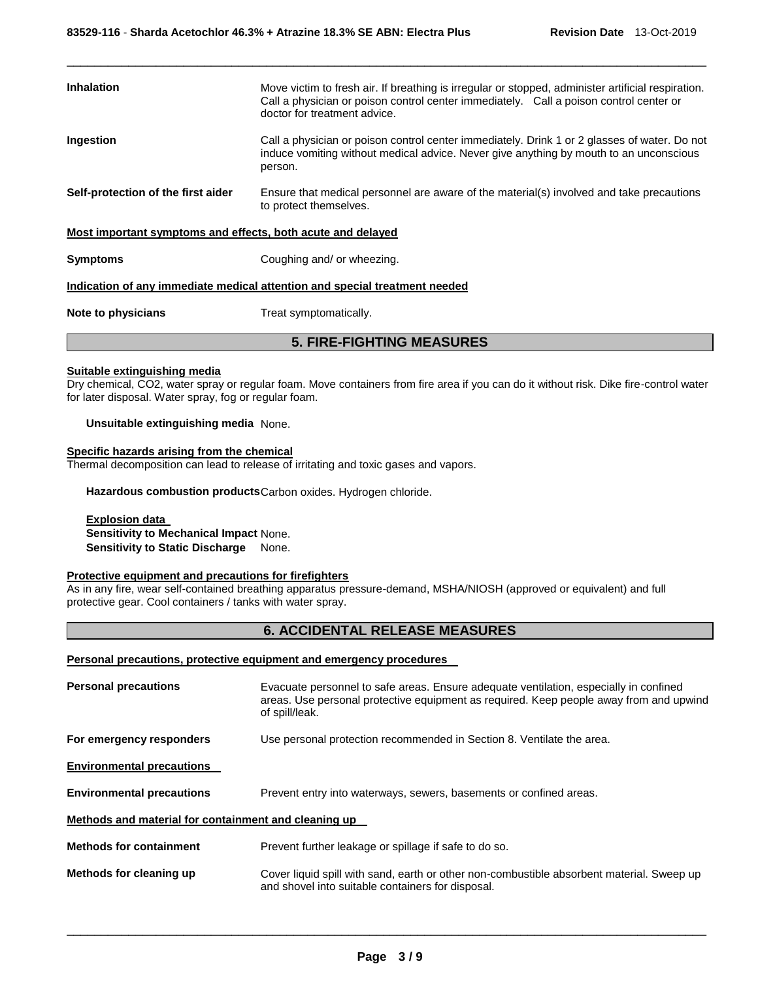| <b>Inhalation</b>                                                          | Move victim to fresh air. If breathing is irregular or stopped, administer artificial respiration.<br>Call a physician or poison control center immediately. Call a poison control center or<br>doctor for treatment advice. |
|----------------------------------------------------------------------------|------------------------------------------------------------------------------------------------------------------------------------------------------------------------------------------------------------------------------|
| Ingestion                                                                  | Call a physician or poison control center immediately. Drink 1 or 2 glasses of water. Do not<br>induce vomiting without medical advice. Never give anything by mouth to an unconscious<br>person.                            |
| Self-protection of the first aider                                         | Ensure that medical personnel are aware of the material(s) involved and take precautions<br>to protect themselves.                                                                                                           |
| Most important symptoms and effects, both acute and delayed                |                                                                                                                                                                                                                              |
| <b>Symptoms</b>                                                            | Coughing and/ or wheezing.                                                                                                                                                                                                   |
| Indication of any immediate medical attention and special treatment needed |                                                                                                                                                                                                                              |
| Note to physicians                                                         | Treat symptomatically.                                                                                                                                                                                                       |

\_\_\_\_\_\_\_\_\_\_\_\_\_\_\_\_\_\_\_\_\_\_\_\_\_\_\_\_\_\_\_\_\_\_\_\_\_\_\_\_\_\_\_\_\_\_\_\_\_\_\_\_\_\_\_\_\_\_\_\_\_\_\_\_\_\_\_\_\_\_\_\_\_\_\_\_\_\_\_\_\_\_\_\_\_\_\_\_\_\_\_\_\_

## **5. FIRE-FIGHTING MEASURES**

## **Suitable extinguishing media**

Dry chemical, CO2, water spray or regular foam. Move containers from fire area if you can do it without risk. Dike fire-control water for later disposal. Water spray, fog or regular foam.

**Unsuitable extinguishing media** None.

## **Specific hazards arising from the chemical**

Thermal decomposition can lead to release of irritating and toxic gases and vapors.

**Hazardous combustion products** Carbon oxides. Hydrogen chloride.

**Explosion data Sensitivity to Mechanical Impact** None. **Sensitivity to Static Discharge** None.

## **Protective equipment and precautions for firefighters**

As in any fire, wear self-contained breathing apparatus pressure-demand, MSHA/NIOSH (approved or equivalent) and full protective gear. Cool containers / tanks with water spray.

## **6. ACCIDENTAL RELEASE MEASURES**

#### **Personal precautions, protective equipment and emergency procedures**

| <b>Personal precautions</b>                          | Evacuate personnel to safe areas. Ensure adequate ventilation, especially in confined<br>areas. Use personal protective equipment as required. Keep people away from and upwind<br>of spill/leak. |
|------------------------------------------------------|---------------------------------------------------------------------------------------------------------------------------------------------------------------------------------------------------|
| For emergency responders                             | Use personal protection recommended in Section 8. Ventilate the area.                                                                                                                             |
| <b>Environmental precautions</b>                     |                                                                                                                                                                                                   |
| <b>Environmental precautions</b>                     | Prevent entry into waterways, sewers, basements or confined areas.                                                                                                                                |
| Methods and material for containment and cleaning up |                                                                                                                                                                                                   |
| <b>Methods for containment</b>                       | Prevent further leakage or spillage if safe to do so.                                                                                                                                             |
| Methods for cleaning up                              | Cover liquid spill with sand, earth or other non-combustible absorbent material. Sweep up<br>and shovel into suitable containers for disposal.                                                    |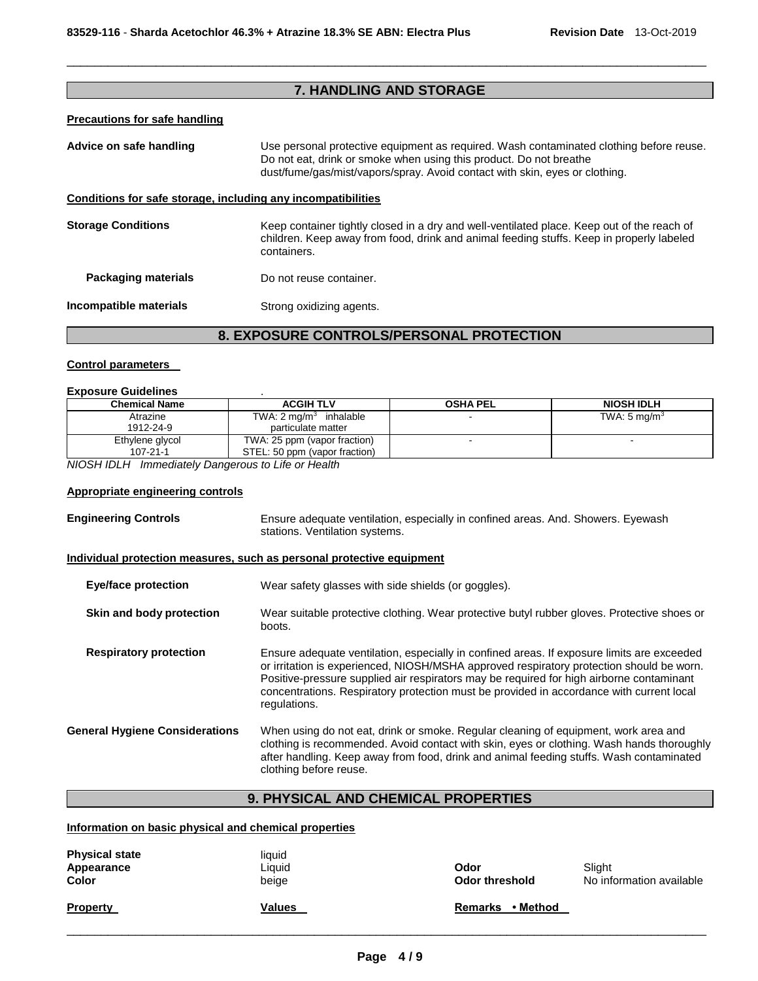## **7. HANDLING AND STORAGE**

\_\_\_\_\_\_\_\_\_\_\_\_\_\_\_\_\_\_\_\_\_\_\_\_\_\_\_\_\_\_\_\_\_\_\_\_\_\_\_\_\_\_\_\_\_\_\_\_\_\_\_\_\_\_\_\_\_\_\_\_\_\_\_\_\_\_\_\_\_\_\_\_\_\_\_\_\_\_\_\_\_\_\_\_\_\_\_\_\_\_\_\_\_

## **Precautions for safe handling**

| Advice on safe handling                                      | Use personal protective equipment as required. Wash contaminated clothing before reuse.<br>Do not eat, drink or smoke when using this product. Do not breathe<br>dust/fume/gas/mist/vapors/spray. Avoid contact with skin, eyes or clothing. |
|--------------------------------------------------------------|----------------------------------------------------------------------------------------------------------------------------------------------------------------------------------------------------------------------------------------------|
| Conditions for safe storage, including any incompatibilities |                                                                                                                                                                                                                                              |
| <b>Storage Conditions</b>                                    | Keep container tightly closed in a dry and well-ventilated place. Keep out of the reach of<br>children. Keep away from food, drink and animal feeding stuffs. Keep in properly labeled<br>containers.                                        |
| <b>Packaging materials</b>                                   | Do not reuse container.                                                                                                                                                                                                                      |
| Incompatible materials                                       | Strong oxidizing agents.                                                                                                                                                                                                                     |

## **8. EXPOSURE CONTROLS/PERSONAL PROTECTION**

## **Control parameters**

## **Exposure Guidelines** .

| <b>Chemical Name</b>              | <b>ACGIH TLV</b>                                              | <b>OSHA PEL</b> | <b>NIOSH IDLH</b>       |
|-----------------------------------|---------------------------------------------------------------|-----------------|-------------------------|
| Atrazine<br>1912-24-9             | TWA: $2 \text{ mg/m}^3$ inhalable<br>particulate matter       |                 | TWA: $5 \text{ mg/m}^3$ |
| Ethylene glycol<br>$107 - 21 - 1$ | TWA: 25 ppm (vapor fraction)<br>STEL: 50 ppm (vapor fraction) |                 |                         |

*NIOSH IDLH Immediately Dangerous to Life or Health* 

## **Appropriate engineering controls**

| <b>Engineering Controls</b>                                           | Ensure adequate ventilation, especially in confined areas. And. Showers. Eyewash<br>stations. Ventilation systems.                                                                                                                                                                                                                                                                             |
|-----------------------------------------------------------------------|------------------------------------------------------------------------------------------------------------------------------------------------------------------------------------------------------------------------------------------------------------------------------------------------------------------------------------------------------------------------------------------------|
| Individual protection measures, such as personal protective equipment |                                                                                                                                                                                                                                                                                                                                                                                                |
| Eye/face protection                                                   | Wear safety glasses with side shields (or goggles).                                                                                                                                                                                                                                                                                                                                            |
| Skin and body protection                                              | Wear suitable protective clothing. Wear protective butyl rubber gloves. Protective shoes or<br>boots.                                                                                                                                                                                                                                                                                          |
| <b>Respiratory protection</b>                                         | Ensure adequate ventilation, especially in confined areas. If exposure limits are exceeded<br>or irritation is experienced, NIOSH/MSHA approved respiratory protection should be worn.<br>Positive-pressure supplied air respirators may be required for high airborne contaminant<br>concentrations. Respiratory protection must be provided in accordance with current local<br>regulations. |
| <b>General Hygiene Considerations</b>                                 | When using do not eat, drink or smoke. Regular cleaning of equipment, work area and<br>clothing is recommended. Avoid contact with skin, eyes or clothing. Wash hands thoroughly<br>after handling. Keep away from food, drink and animal feeding stuffs. Wash contaminated<br>clothing before reuse.                                                                                          |

## **9. PHYSICAL AND CHEMICAL PROPERTIES**

## **Information on basic physical and chemical properties**

| <b>Physical state</b><br>Appearance<br><b>Color</b> | liauid<br>Liquid<br>beige | Odor<br>Odor threshold     | Slight<br>No information available |
|-----------------------------------------------------|---------------------------|----------------------------|------------------------------------|
| <b>Property</b>                                     | <b>Values</b>             | • Method<br><b>Remarks</b> |                                    |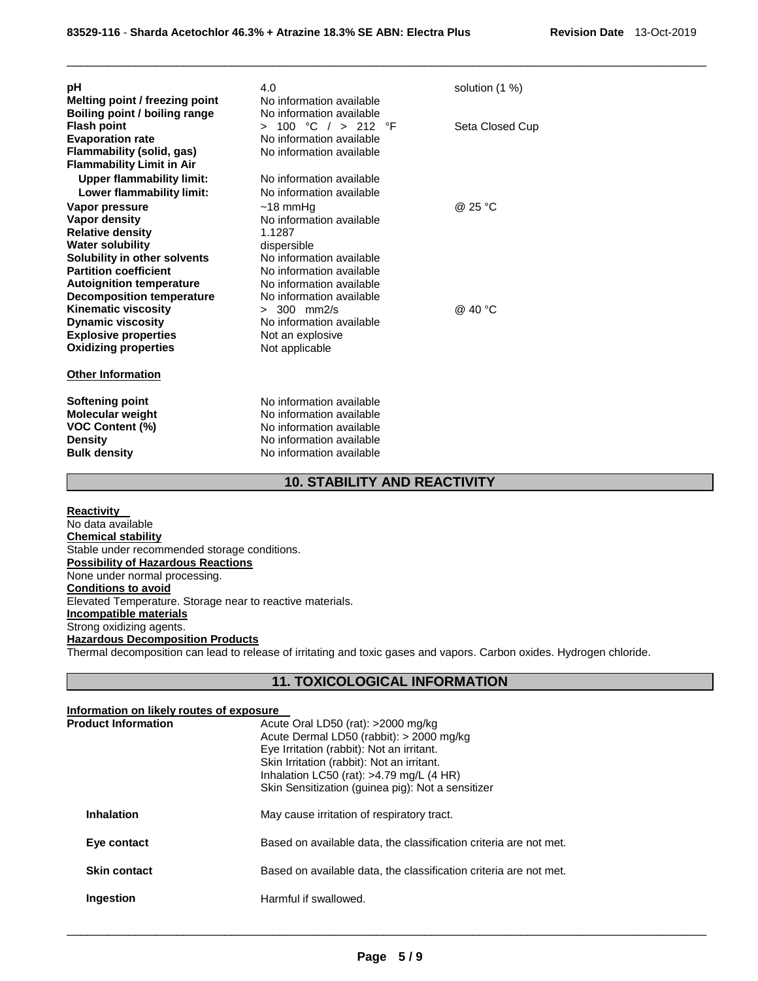| рH<br>Melting point / freezing point                                                                        | 4.0<br>No information available                                                                         | solution (1 %)  |
|-------------------------------------------------------------------------------------------------------------|---------------------------------------------------------------------------------------------------------|-----------------|
| Boiling point / boiling range<br><b>Flash point</b><br><b>Evaporation rate</b><br>Flammability (solid, gas) | No information available<br>> 100 °C / > 212 °F<br>No information available<br>No information available | Seta Closed Cup |
| <b>Flammability Limit in Air</b>                                                                            |                                                                                                         |                 |
| <b>Upper flammability limit:</b>                                                                            | No information available                                                                                |                 |
| Lower flammability limit:                                                                                   | No information available                                                                                |                 |
| Vapor pressure                                                                                              | $~18$ mmHq                                                                                              | @ 25 °C         |
| Vapor density                                                                                               | No information available                                                                                |                 |
| <b>Relative density</b>                                                                                     | 1.1287                                                                                                  |                 |
| <b>Water solubility</b>                                                                                     | dispersible                                                                                             |                 |
| Solubility in other solvents                                                                                | No information available                                                                                |                 |
| <b>Partition coefficient</b>                                                                                | No information available                                                                                |                 |
| <b>Autoignition temperature</b>                                                                             | No information available                                                                                |                 |
| <b>Decomposition temperature</b>                                                                            | No information available                                                                                |                 |
| <b>Kinematic viscosity</b>                                                                                  | $> 300$ mm $2/s$                                                                                        | @ 40 °C         |
| <b>Dynamic viscosity</b>                                                                                    | No information available                                                                                |                 |
| <b>Explosive properties</b>                                                                                 | Not an explosive                                                                                        |                 |
| <b>Oxidizing properties</b>                                                                                 | Not applicable                                                                                          |                 |
| <b>Other Information</b>                                                                                    |                                                                                                         |                 |
| <b>Softening point</b>                                                                                      | No information available                                                                                |                 |
| <b>Molecular weight</b>                                                                                     | No information available                                                                                |                 |
| <b>VOC Content (%)</b>                                                                                      | No information available                                                                                |                 |
| <b>Density</b>                                                                                              | No information available                                                                                |                 |
| <b>Bulk density</b>                                                                                         | No information available                                                                                |                 |

## **10. STABILITY AND REACTIVITY**

\_\_\_\_\_\_\_\_\_\_\_\_\_\_\_\_\_\_\_\_\_\_\_\_\_\_\_\_\_\_\_\_\_\_\_\_\_\_\_\_\_\_\_\_\_\_\_\_\_\_\_\_\_\_\_\_\_\_\_\_\_\_\_\_\_\_\_\_\_\_\_\_\_\_\_\_\_\_\_\_\_\_\_\_\_\_\_\_\_\_\_\_\_

**Reactivity**  No data available **Chemical stability** Stable under recommended storage conditions. **Possibility of Hazardous Reactions** None under normal processing. **Conditions to avoid** Elevated Temperature. Storage near to reactive materials. **Incompatible materials** Strong oxidizing agents. **Hazardous Decomposition Products** Thermal decomposition can lead to release of irritating and toxic gases and vapors. Carbon oxides. Hydrogen chloride.

## **11. TOXICOLOGICAL INFORMATION**

| Information on likely routes of exposure |                                                                                                                                                                                                                                                                              |  |
|------------------------------------------|------------------------------------------------------------------------------------------------------------------------------------------------------------------------------------------------------------------------------------------------------------------------------|--|
| <b>Product Information</b>               | Acute Oral LD50 (rat): >2000 mg/kg<br>Acute Dermal LD50 (rabbit): > 2000 mg/kg<br>Eye Irritation (rabbit): Not an irritant.<br>Skin Irritation (rabbit): Not an irritant.<br>Inhalation LC50 (rat): $>4.79$ mg/L (4 HR)<br>Skin Sensitization (quinea pig): Not a sensitizer |  |
| <b>Inhalation</b>                        | May cause irritation of respiratory tract.                                                                                                                                                                                                                                   |  |
| Eye contact                              | Based on available data, the classification criteria are not met.                                                                                                                                                                                                            |  |
| <b>Skin contact</b>                      | Based on available data, the classification criteria are not met.                                                                                                                                                                                                            |  |
| <b>Ingestion</b>                         | Harmful if swallowed.                                                                                                                                                                                                                                                        |  |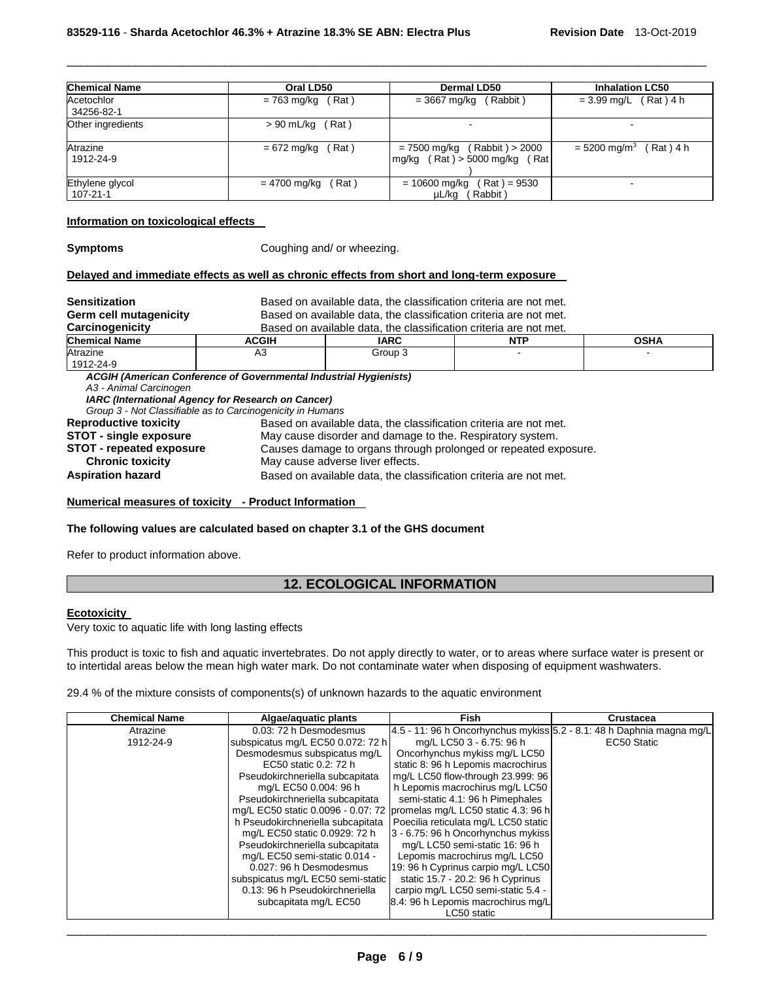| <b>Chemical Name</b>          | Oral LD50             | Dermal LD50                                                          | <b>Inhalation LC50</b>                 |
|-------------------------------|-----------------------|----------------------------------------------------------------------|----------------------------------------|
| Acetochlor<br>34256-82-1      | $= 763$ mg/kg (Rat)   | $=$ 3667 mg/kg (Rabbit)                                              | $= 3.99$ mg/L (Rat) 4 h                |
| Other ingredients             | (Rat)<br>> 90 mL/kg   |                                                                      |                                        |
| Atrazine<br>1912-24-9         | Rat)<br>= 672 mg/kg   | $= 7500$ mg/kg (Rabbit) > 2000<br>mg/kg $(Rat) > 5000$ mg/kg $(Rat)$ | $(Rat)$ 4 h<br>$= 5200 \text{ mg/m}^3$ |
| Ethylene glycol<br>  107-21-1 | (Rat)<br>= 4700 mg/kg | = 10600 mg/kg<br>(Rat ) = 9530<br>(Rabbit)<br>µL/kg                  |                                        |

\_\_\_\_\_\_\_\_\_\_\_\_\_\_\_\_\_\_\_\_\_\_\_\_\_\_\_\_\_\_\_\_\_\_\_\_\_\_\_\_\_\_\_\_\_\_\_\_\_\_\_\_\_\_\_\_\_\_\_\_\_\_\_\_\_\_\_\_\_\_\_\_\_\_\_\_\_\_\_\_\_\_\_\_\_\_\_\_\_\_\_\_\_

#### **Information on toxicological effects**

**Symptoms Coughing and/ or wheezing.** 

## **Delayed and immediate effects as well as chronic effects from short and long-term exposure**

| <b>Sensitization</b>            | Based on available data, the classification criteria are not met.                                                                                                                                   |                                                                   |     |             |  |
|---------------------------------|-----------------------------------------------------------------------------------------------------------------------------------------------------------------------------------------------------|-------------------------------------------------------------------|-----|-------------|--|
| Germ cell mutagenicity          |                                                                                                                                                                                                     | Based on available data, the classification criteria are not met. |     |             |  |
| <b>Carcinogenicity</b>          |                                                                                                                                                                                                     | Based on available data, the classification criteria are not met. |     |             |  |
| <b>Chemical Name</b>            | <b>ACGIH</b>                                                                                                                                                                                        | <b>IARC</b>                                                       | NTP | <b>OSHA</b> |  |
| Atrazine                        | A3                                                                                                                                                                                                  | Group 3                                                           |     |             |  |
| 1912-24-9                       |                                                                                                                                                                                                     |                                                                   |     |             |  |
| A3 - Animal Carcinogen          | <b>ACGIH (American Conference of Governmental Industrial Hygienists)</b><br><b>IARC (International Agency for Research on Cancer)</b><br>Group 3 - Not Classifiable as to Carcinogenicity in Humans |                                                                   |     |             |  |
| <b>Reproductive toxicity</b>    | Based on available data, the classification criteria are not met.                                                                                                                                   |                                                                   |     |             |  |
| <b>STOT - single exposure</b>   | May cause disorder and damage to the. Respiratory system.                                                                                                                                           |                                                                   |     |             |  |
| <b>STOT - repeated exposure</b> |                                                                                                                                                                                                     | Causes damage to organs through prolonged or repeated exposure.   |     |             |  |
| <b>Chronic toxicity</b>         |                                                                                                                                                                                                     | May cause adverse liver effects.                                  |     |             |  |
| <b>Aspiration hazard</b>        | Based on available data, the classification criteria are not met.                                                                                                                                   |                                                                   |     |             |  |

#### **Numerical measures of toxicity - Product Information**

#### **The following values are calculated based on chapter 3.1 of the GHS document**

Refer to product information above.

## **12. ECOLOGICAL INFORMATION**

## **Ecotoxicity**

Very toxic to aquatic life with long lasting effects

This product is toxic to fish and aquatic invertebrates. Do not apply directly to water, or to areas where surface water is present or to intertidal areas below the mean high water mark. Do not contaminate water when disposing of equipment washwaters.

29.4 % of the mixture consists of components(s) of unknown hazards to the aquatic environment

| <b>Chemical Name</b> | Algae/aquatic plants              | <b>Fish</b>                                                            | Crustacea   |
|----------------------|-----------------------------------|------------------------------------------------------------------------|-------------|
| Atrazine             | 0.03: 72 h Desmodesmus            | 4.5 - 11: 96 h Oncorhynchus mykiss 5.2 - 8.1: 48 h Daphnia magna mg/L  |             |
| 1912-24-9            | subspicatus mg/L EC50 0.072: 72 h | mg/L LC50 3 - 6.75: 96 h                                               | EC50 Static |
|                      | Desmodesmus subspicatus mg/L      | Oncorhynchus mykiss mg/L LC50                                          |             |
|                      | EC50 static 0.2: 72 h             | static 8: 96 h Lepomis macrochirus                                     |             |
|                      | Pseudokirchneriella subcapitata   | mg/L LC50 flow-through 23.999: 96                                      |             |
|                      | mg/L EC50 0.004: 96 h             | h Lepomis macrochirus mg/L LC50                                        |             |
|                      | Pseudokirchneriella subcapitata   | semi-static 4.1: 96 h Pimephales                                       |             |
|                      |                                   | mg/L EC50 static 0.0096 - 0.07: 72 promelas mg/L LC50 static 4.3: 96 h |             |
|                      | h Pseudokirchneriella subcapitata | Poecilia reticulata mg/L LC50 static                                   |             |
|                      | mg/L EC50 static 0.0929: 72 h     | 3 - 6.75: 96 h Oncorhynchus mykiss                                     |             |
|                      | Pseudokirchneriella subcapitata   | mg/L LC50 semi-static 16: 96 h                                         |             |
|                      | mg/L EC50 semi-static 0.014 -     | Lepomis macrochirus mg/L LC50                                          |             |
|                      | 0.027: 96 h Desmodesmus           | 19: 96 h Cyprinus carpio mg/L LC50                                     |             |
|                      | subspicatus mg/L EC50 semi-static | static 15.7 - 20.2: 96 h Cyprinus                                      |             |
|                      | 0.13: 96 h Pseudokirchneriella    | carpio mg/L LC50 semi-static 5.4 -                                     |             |
|                      | subcapitata mg/L EC50             | 8.4: 96 h Lepomis macrochirus mg/L                                     |             |
|                      |                                   | LC50 static                                                            |             |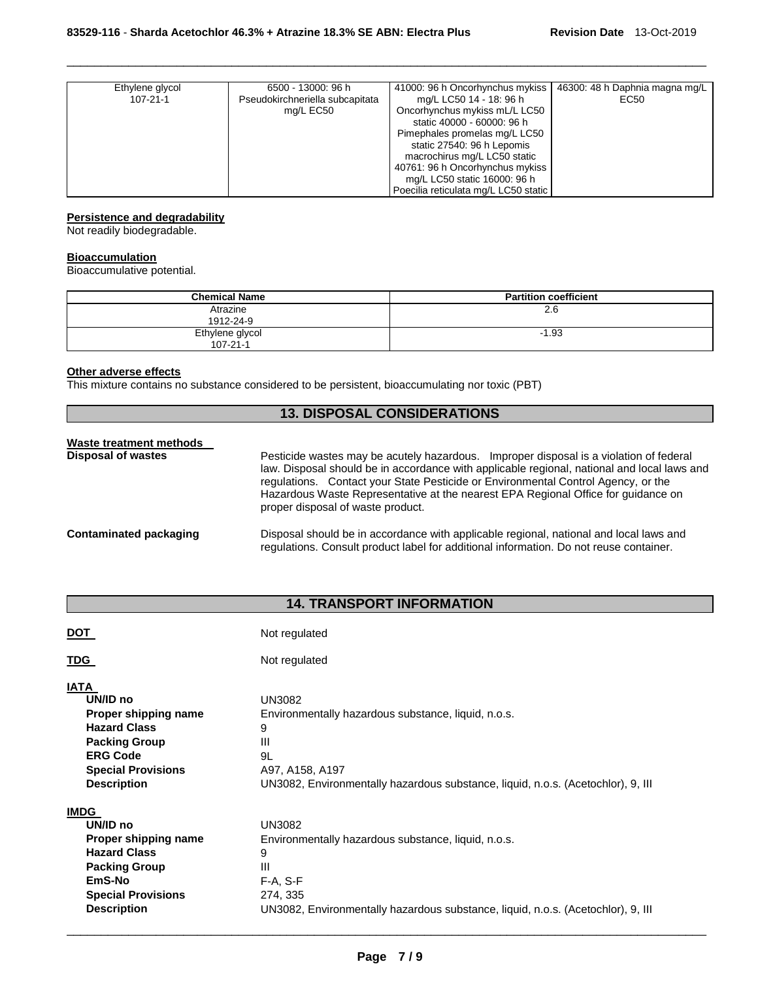| Ethylene glycol | 6500 - 13000: 96 h              | 41000: 96 h Oncorhynchus mykiss      | 46300: 48 h Daphnia magna mg/L |
|-----------------|---------------------------------|--------------------------------------|--------------------------------|
| $107 - 21 - 1$  | Pseudokirchneriella subcapitata | mg/L LC50 14 - 18: 96 h              | EC50                           |
|                 | mg/L EC50                       | Oncorhynchus mykiss mL/L LC50        |                                |
|                 |                                 | static 40000 - 60000: 96 h           |                                |
|                 |                                 | Pimephales promelas mg/L LC50        |                                |
|                 |                                 | static 27540: 96 h Lepomis           |                                |
|                 |                                 | macrochirus mg/L LC50 static         |                                |
|                 |                                 | 40761: 96 h Oncorhynchus mykiss      |                                |
|                 |                                 | mg/L LC50 static 16000: 96 h         |                                |
|                 |                                 | Poecilia reticulata mg/L LC50 static |                                |

\_\_\_\_\_\_\_\_\_\_\_\_\_\_\_\_\_\_\_\_\_\_\_\_\_\_\_\_\_\_\_\_\_\_\_\_\_\_\_\_\_\_\_\_\_\_\_\_\_\_\_\_\_\_\_\_\_\_\_\_\_\_\_\_\_\_\_\_\_\_\_\_\_\_\_\_\_\_\_\_\_\_\_\_\_\_\_\_\_\_\_\_\_

## **Persistence and degradability**

Not readily biodegradable.

#### **Bioaccumulation**

Bioaccumulative potential.

| <b>Chemical Name</b>              | <b>Partition coefficient</b> |
|-----------------------------------|------------------------------|
| Atrazine<br>1912-24-9             | 2.6                          |
| Ethylene glycol<br>$107 - 21 - 1$ | $-1.93$                      |

## **Other adverse effects**

This mixture contains no substance considered to be persistent, bioaccumulating nor toxic (PBT)

## **13. DISPOSAL CONSIDERATIONS**

| Waste treatment methods   |                                                                                                                                                                                                                                                                                                                                                                                                      |
|---------------------------|------------------------------------------------------------------------------------------------------------------------------------------------------------------------------------------------------------------------------------------------------------------------------------------------------------------------------------------------------------------------------------------------------|
| <b>Disposal of wastes</b> | Pesticide wastes may be acutely hazardous. Improper disposal is a violation of federal<br>law. Disposal should be in accordance with applicable regional, national and local laws and<br>regulations. Contact your State Pesticide or Environmental Control Agency, or the<br>Hazardous Waste Representative at the nearest EPA Regional Office for guidance on<br>proper disposal of waste product. |
| Contaminated packaging    | Disposal should be in accordance with applicable regional, national and local laws and<br>regulations. Consult product label for additional information. Do not reuse container.                                                                                                                                                                                                                     |

## **14. TRANSPORT INFORMATION**

| <u>DOT</u>                                                                                                                                                           | Not regulated                                                                                                                                                                                |
|----------------------------------------------------------------------------------------------------------------------------------------------------------------------|----------------------------------------------------------------------------------------------------------------------------------------------------------------------------------------------|
| <b>TDG</b>                                                                                                                                                           | Not regulated                                                                                                                                                                                |
| <b>IATA</b><br>UN/ID no<br>Proper shipping name<br><b>Hazard Class</b><br><b>Packing Group</b><br><b>ERG Code</b><br><b>Special Provisions</b><br><b>Description</b> | <b>UN3082</b><br>Environmentally hazardous substance, liquid, n.o.s.<br>9<br>Ш<br>9L<br>A97, A158, A197<br>UN3082, Environmentally hazardous substance, liquid, n.o.s. (Acetochlor), 9, III  |
| <b>IMDG</b><br>UN/ID no<br>Proper shipping name<br><b>Hazard Class</b><br><b>Packing Group</b><br>EmS-No<br><b>Special Provisions</b><br><b>Description</b>          | <b>UN3082</b><br>Environmentally hazardous substance, liquid, n.o.s.<br>9<br>Ш<br>$F-A, S-F$<br>274, 335<br>UN3082, Environmentally hazardous substance, liquid, n.o.s. (Acetochlor), 9, III |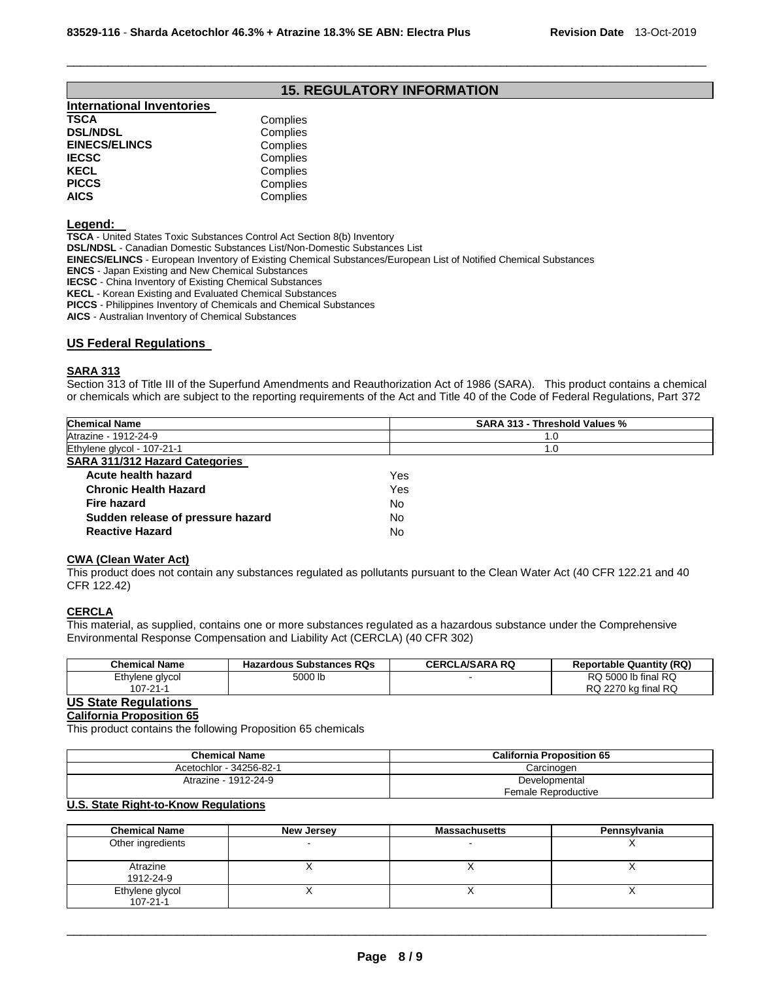## **15. REGULATORY INFORMATION**

\_\_\_\_\_\_\_\_\_\_\_\_\_\_\_\_\_\_\_\_\_\_\_\_\_\_\_\_\_\_\_\_\_\_\_\_\_\_\_\_\_\_\_\_\_\_\_\_\_\_\_\_\_\_\_\_\_\_\_\_\_\_\_\_\_\_\_\_\_\_\_\_\_\_\_\_\_\_\_\_\_\_\_\_\_\_\_\_\_\_\_\_\_

| <b>International Inventories</b> |          |
|----------------------------------|----------|
| TSCA                             | Complies |
| <b>DSL/NDSL</b>                  | Complies |
| <b>EINECS/ELINCS</b>             | Complies |
| IECSC                            | Complies |
| KECL                             | Complies |
| <b>PICCS</b>                     | Complies |
| AICS                             | Complies |
|                                  |          |

#### **Legend:**

**TSCA** - United States Toxic Substances Control Act Section 8(b) Inventory

**DSL/NDSL** - Canadian Domestic Substances List/Non-Domestic Substances List

**EINECS/ELINCS** - European Inventory of Existing Chemical Substances/European List of Notified Chemical Substances

**ENCS** - Japan Existing and New Chemical Substances

**IECSC** - China Inventory of Existing Chemical Substances

**KECL** - Korean Existing and Evaluated Chemical Substances

**PICCS** - Philippines Inventory of Chemicals and Chemical Substances

**AICS** - Australian Inventory of Chemical Substances

#### **US Federal Regulations**

#### **SARA 313**

Section 313 of Title III of the Superfund Amendments and Reauthorization Act of 1986 (SARA). This product contains a chemical or chemicals which are subject to the reporting requirements of the Act and Title 40 of the Code of Federal Regulations, Part 372

| <b>Chemical Name</b>                  | SARA 313 - Threshold Values % |
|---------------------------------------|-------------------------------|
| Atrazine - 1912-24-9                  | 1.0                           |
| Ethylene glycol - 107-21-1            | 1.0                           |
| <b>SARA 311/312 Hazard Categories</b> |                               |
| Acute health hazard                   | Yes                           |
| <b>Chronic Health Hazard</b>          | Yes                           |
| Fire hazard                           | No.                           |
| Sudden release of pressure hazard     | No                            |
| <b>Reactive Hazard</b>                | No                            |

#### **CWA (Clean Water Act)**

This product does not contain any substances regulated as pollutants pursuant to the Clean Water Act (40 CFR 122.21 and 40 CFR 122.42)

## **CERCLA**

This material, as supplied, contains one or more substances regulated as a hazardous substance under the Comprehensive Environmental Response Compensation and Liability Act (CERCLA) (40 CFR 302)

| Chemical Name   | <b>Hazardous Substances RQs</b> | <b>CERCLA/SARA RQ</b> | <b>Reportable Quantity (RQ)</b> |
|-----------------|---------------------------------|-----------------------|---------------------------------|
| Ethylene glycol | 5000 lb                         |                       | RQ 5000 lb final RQ             |
| 107-21-1        |                                 |                       | RQ 2270 kg final RQ             |

## **US State Regulations**

#### **California Proposition 65**

This product contains the following Proposition 65 chemicals

| <b>Chemical Name</b>    | <b>California Proposition 65</b> |  |
|-------------------------|----------------------------------|--|
| Acetochlor - 34256-82-1 | Carcinogen                       |  |
| Atrazine - 1912-24-9    | Developmental                    |  |
|                         | Female Reproductive              |  |

## **U.S. State Right-to-Know Regulations**

| <b>Chemical Name</b>              | New Jersey | <b>Massachusetts</b> | Pennsylvania |
|-----------------------------------|------------|----------------------|--------------|
| Other ingredients                 |            |                      |              |
| Atrazine<br>1912-24-9             |            |                      |              |
| Ethylene glycol<br>$107 - 21 - 1$ |            |                      |              |